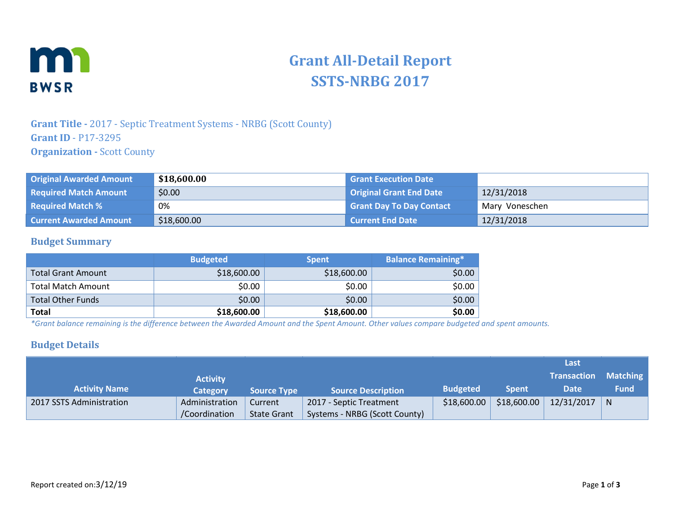

# **Grant All-Detail Report SSTS-NRBG 2017**

## **Grant Title -** 2017 - Septic Treatment Systems - NRBG (Scott County) **Grant ID** - P17-3295 **Organization - Scott County**

| <b>Original Awarded Amount</b> | \$18,600.00 | <b>Grant Execution Date</b>     |                |
|--------------------------------|-------------|---------------------------------|----------------|
| <b>Required Match Amount</b>   | \$0.00      | <b>Original Grant End Date</b>  | 12/31/2018     |
| <b>Required Match %</b>        | 0%          | <b>Grant Day To Day Contact</b> | Mary Voneschen |
| <b>Current Awarded Amount</b>  | \$18,600.00 | <b>Current End Date</b>         | 12/31/2018     |

### **Budget Summary**

|                           | <b>Budgeted</b> | <b>Spent</b> | <b>Balance Remaining*</b> |
|---------------------------|-----------------|--------------|---------------------------|
| <b>Total Grant Amount</b> | \$18,600.00     | \$18,600.00  | \$0.00                    |
| <b>Total Match Amount</b> | \$0.00          | \$0.00       | \$0.00                    |
| <b>Total Other Funds</b>  | \$0.00          | \$0.00       | \$0.00                    |
| <b>Total</b>              | \$18,600.00     | \$18,600.00  | \$0.00                    |

*\*Grant balance remaining is the difference between the Awarded Amount and the Spent Amount. Other values compare budgeted and spent amounts.* 

### **Budget Details**

|                          |                 |                    |                               |                 | Last         |                    |             |
|--------------------------|-----------------|--------------------|-------------------------------|-----------------|--------------|--------------------|-------------|
|                          | <b>Activity</b> |                    |                               |                 |              | <b>Transaction</b> | Matching    |
| <b>Activity Name</b>     | Category        | <b>Source Type</b> | <b>Source Description</b>     | <b>Budgeted</b> | <b>Spent</b> | <b>Date</b>        | <b>Fund</b> |
| 2017 SSTS Administration | Administration  | Current            | 2017 - Septic Treatment       | \$18,600.00     | \$18,600.00  | 12/31/2017         | N           |
|                          | /Coordination   | <b>State Grant</b> | Systems - NRBG (Scott County) |                 |              |                    |             |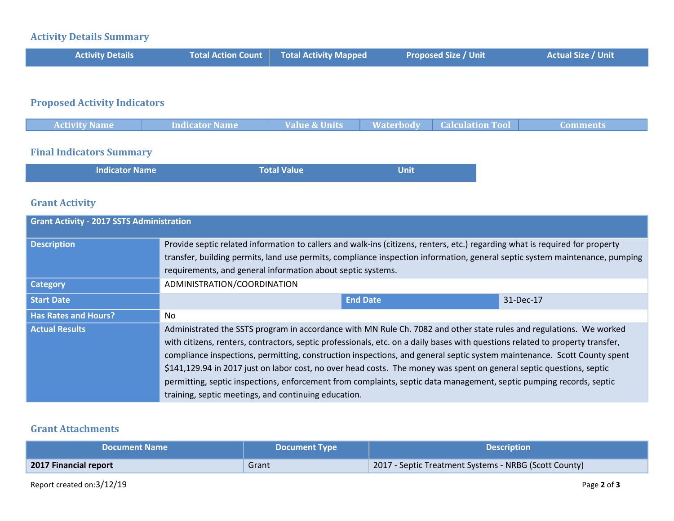# **Activity Details Summary**

| <b>Activity Details</b> | <b>Total Action Count Total Activity Mapped</b> | <b>Proposed Size / Unit</b> | <b>Actual Size / Unit</b> |
|-------------------------|-------------------------------------------------|-----------------------------|---------------------------|
|                         |                                                 |                             |                           |

# **Proposed Activity Indicators**

| <b>Activity Name</b> | <b>Indicator Name</b> | <b>Value &amp; Units</b> | <b>Waterbody</b> | <b>Calculation Tool</b> | ___________<br>Lomments |
|----------------------|-----------------------|--------------------------|------------------|-------------------------|-------------------------|
|                      |                       |                          |                  |                         |                         |
|                      |                       |                          |                  |                         |                         |
|                      |                       |                          |                  |                         |                         |

### **Final Indicators Summary**

| <b>Indicator Name</b> | Total Value | <b>Unit</b> |
|-----------------------|-------------|-------------|
|                       |             |             |

### **Grant Activity**

| <b>Grant Activity - 2017 SSTS Administration</b> |                                                                                                                                                                                                                                                                                                                                                                                                                                                                                                                                                                                                                                                                                        |                 |           |  |
|--------------------------------------------------|----------------------------------------------------------------------------------------------------------------------------------------------------------------------------------------------------------------------------------------------------------------------------------------------------------------------------------------------------------------------------------------------------------------------------------------------------------------------------------------------------------------------------------------------------------------------------------------------------------------------------------------------------------------------------------------|-----------------|-----------|--|
| <b>Description</b>                               | Provide septic related information to callers and walk-ins (citizens, renters, etc.) regarding what is required for property<br>transfer, building permits, land use permits, compliance inspection information, general septic system maintenance, pumping<br>requirements, and general information about septic systems.                                                                                                                                                                                                                                                                                                                                                             |                 |           |  |
| <b>Category</b>                                  | ADMINISTRATION/COORDINATION                                                                                                                                                                                                                                                                                                                                                                                                                                                                                                                                                                                                                                                            |                 |           |  |
| <b>Start Date</b>                                |                                                                                                                                                                                                                                                                                                                                                                                                                                                                                                                                                                                                                                                                                        | <b>End Date</b> | 31-Dec-17 |  |
| <b>Has Rates and Hours?</b>                      | No                                                                                                                                                                                                                                                                                                                                                                                                                                                                                                                                                                                                                                                                                     |                 |           |  |
| <b>Actual Results</b>                            | Administrated the SSTS program in accordance with MN Rule Ch. 7082 and other state rules and regulations. We worked<br>with citizens, renters, contractors, septic professionals, etc. on a daily bases with questions related to property transfer,<br>compliance inspections, permitting, construction inspections, and general septic system maintenance. Scott County spent<br>\$141,129.94 in 2017 just on labor cost, no over head costs. The money was spent on general septic questions, septic<br>permitting, septic inspections, enforcement from complaints, septic data management, septic pumping records, septic<br>training, septic meetings, and continuing education. |                 |           |  |

### **Grant Attachments**

| <b>NDocument Name</b> | <b>Document Type</b> | <b>Description</b>                                    |
|-----------------------|----------------------|-------------------------------------------------------|
| 2017 Financial report | Grant                | 2017 - Septic Treatment Systems - NRBG (Scott County) |